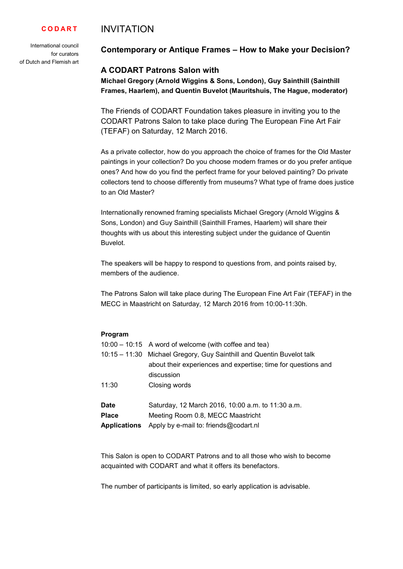#### INVITATION **C O D A R T**

International council for curators of Dutch and Flemish art

# **Contemporary or Antique Frames – How to Make your Decision?**

# **A CODART Patrons Salon with**

**Michael Gregory (Arnold Wiggins & Sons, London), Guy Sainthill (Sainthill Frames, Haarlem), and Quentin Buvelot (Mauritshuis, The Hague, moderator)** 

The Friends of CODART Foundation takes pleasure in inviting you to the CODART Patrons Salon to take place during The European Fine Art Fair (TEFAF) on Saturday, 12 March 2016.

As a private collector, how do you approach the choice of frames for the Old Master paintings in your collection? Do you choose modern frames or do you prefer antique ones? And how do you find the perfect frame for your beloved painting? Do private collectors tend to choose differently from museums? What type of frame does justice to an Old Master?

Internationally renowned framing specialists Michael Gregory (Arnold Wiggins & Sons, London) and Guy Sainthill (Sainthill Frames, Haarlem) will share their thoughts with us about this interesting subject under the guidance of Quentin Buvelot.

The speakers will be happy to respond to questions from, and points raised by. members of the audience.

The Patrons Salon will take place during The European Fine Art Fair (TEFAF) in the MECC in Maastricht on Saturday, 12 March 2016 from 10:00-11:30h.

# **Program**

|                     | $10:00 - 10:15$ A word of welcome (with coffee and tea)               |
|---------------------|-----------------------------------------------------------------------|
|                     | 10:15 - 11:30 Michael Gregory, Guy Sainthill and Quentin Buvelot talk |
|                     | about their experiences and expertise; time for questions and         |
|                     | discussion                                                            |
| 11:30               | Closing words                                                         |
|                     |                                                                       |
| <b>Date</b>         | Saturday, 12 March 2016, 10:00 a.m. to 11:30 a.m.                     |
| <b>Place</b>        | Meeting Room 0.8, MECC Maastricht                                     |
| <b>Applications</b> | Apply by e-mail to: friends@codart.nl                                 |

This Salon is open to CODART Patrons and to all those who wish to become acquainted with CODART and what it offers its benefactors.

The number of participants is limited, so early application is advisable.